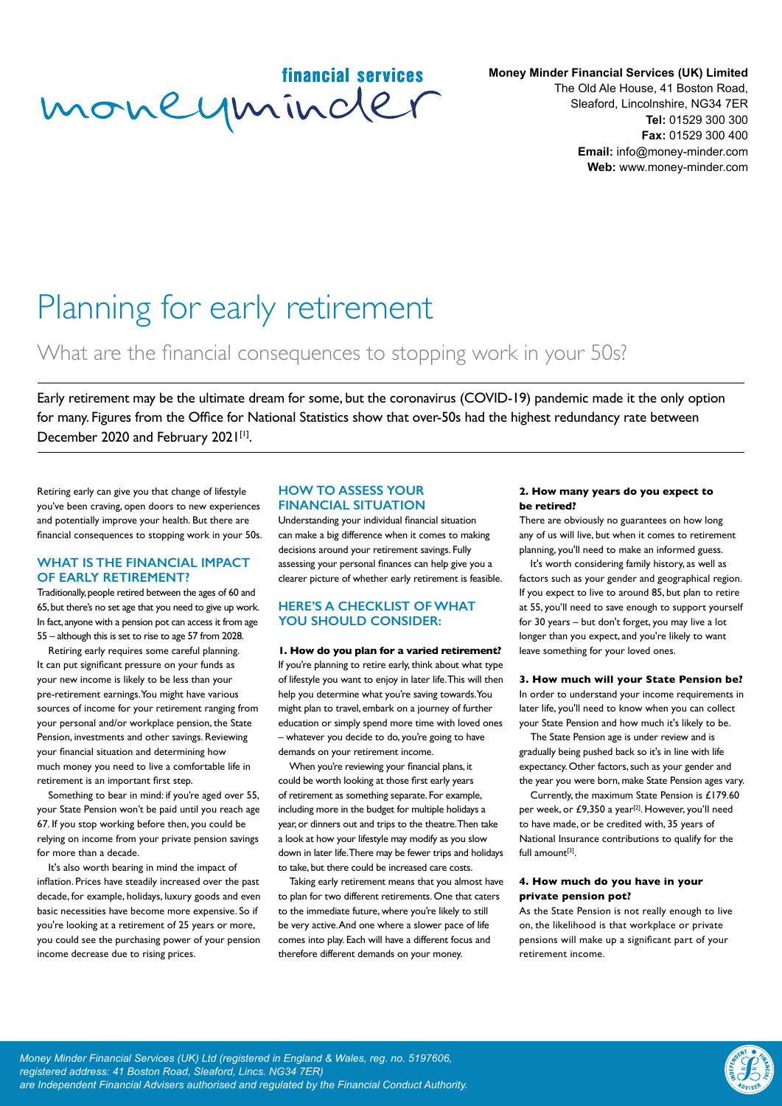financial services moneyminder

**Money Minder Financial Services (UK) Limited** The Old Ale House, 41 Boston Road, Sleaford, Lincolnshire, NG34 7ER **Tel:** 01529 300 300 **Fax:** 01529 300 400 **Email:** info@money-minder.com **Web:** www.money-minder.com

# Planning for early retirement

## What are the financial consequences to stopping work in your 50s?

Early retirement may be the ultimate dream for some, but the coronavirus (COVID-19) pandemic made it the only option for many. Figures from the Office for National Statistics show that over-50s had the highest redundancy rate between December 2020 and February 2021[1].

Retiring early can give you that change of lifestyle you've been craving, open doors to new experiences and potentially improve your health. But there are financial consequences to stopping work in your 50s.

#### **WHAT IS THE FINANCIAL IMPACT OF EARLY RETIREMENT?**

Traditionally, people retired between the ages of 60 and 65, but there's no set age that you need to give up work. In fact, anyone with a pension pot can access it from age 55 – although this is set to rise to age 57 from 2028.

Retiring early requires some careful planning. It can put significant pressure on your funds as your new income is likely to be less than your pre-retirement earnings. You might have various sources of income for your retirement ranging from your personal and/or workplace pension, the State Pension, investments and other savings. Reviewing your financial situation and determining how much money you need to live a comfortable life in retirement is an important first step.

Something to bear in mind: if you're aged over 55, your State Pension won't be paid until you reach age 67. If you stop working before then, you could be relying on income from your private pension savings for more than a decade.

It's also worth bearing in mind the impact of inflation. Prices have steadily increased over the past decade, for example, holidays, luxury goods and even basic necessities have become more expensive. So if you're looking at a retirement of 25 years or more, you could see the purchasing power of your pension income decrease due to rising prices.

#### **HOW TO ASSESS YOUR FINANCIAL SITUATION**

Understanding your individual financial situation can make a big difference when it comes to making decisions around your retirement savings. Fully assessing your personal finances can help give you a clearer picture of whether early retirement is feasible.

#### **HERE'S A CHECKLIST OF WHAT YOU SHOULD CONSIDER:**

**1. How do you plan for a varied retirement?** If you're planning to retire early, think about what type of lifestyle you want to enjoy in later life. This will then help you determine what you're saving towards. You might plan to travel, embark on a journey of further education or simply spend more time with loved ones – whatever you decide to do, you're going to have demands on your retirement income.

When you're reviewing your financial plans, it could be worth looking at those first early years of retirement as something separate. For example, including more in the budget for multiple holidays a year, or dinners out and trips to the theatre. Then take a look at how your lifestyle may modify as you slow down in later life. There may be fewer trips and holidays to take, but there could be increased care costs.

Taking early retirement means that you almost have to plan for two different retirements. One that caters to the immediate future, where you're likely to still be very active. And one where a slower pace of life comes into play. Each will have a different focus and therefore different demands on your money.

#### **2. How many years do you expect to be retired?**

There are obviously no guarantees on how long any of us will live, but when it comes to retirement planning, you'll need to make an informed guess.

It's worth considering family history, as well as factors such as your gender and geographical region. If you expect to live to around 85, but plan to retire at 55, you'll need to save enough to support yourself for 30 years – but don't forget, you may live a lot longer than you expect, and you're likely to want leave something for your loved ones.

#### **3. How much will your State Pension be?**

In order to understand your income requirements in later life, you'll need to know when you can collect your State Pension and how much it's likely to be.

The State Pension age is under review and is gradually being pushed back so it's in line with life expectancy. Other factors, such as your gender and the year you were born, make State Pension ages vary.

Currently, the maximum State Pension is £179.60 per week, or £9,350 a year<sup>[2]</sup>. However, you'll need to have made, or be credited with, 35 years of National Insurance contributions to qualify for the full amount[3].

#### **4. How much do you have in your private pension pot?**

As the State Pension is not really enough to live on, the likelihood is that workplace or private pensions will make up a significant part of your retirement income.